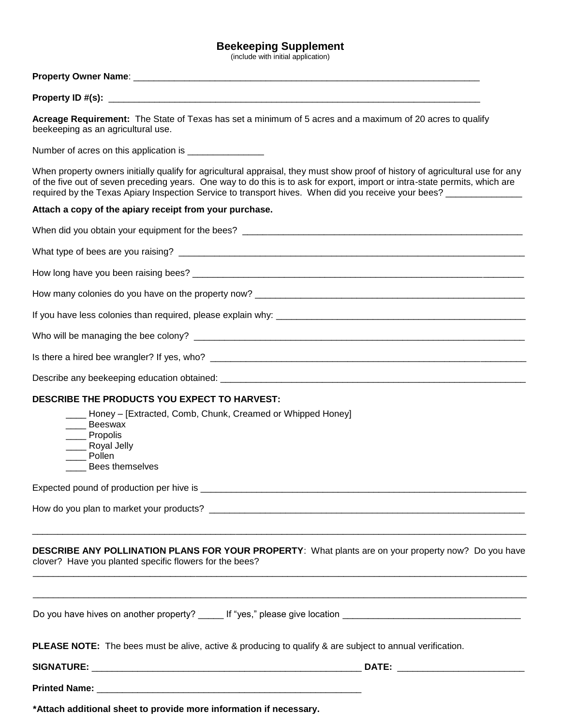## **Beekeeping Supplement**

(include with initial application)

## **Property Owner Name: Example 20 and 20 and 20 and 20 and 20 and 20 and 20 and 20 and 20 and 20 and 20 and 20 and 20 and 20 and 20 and 20 and 20 and 20 and 20 and 20 and 20 and 20 and 20 and 20 and 20 and 20 and 20 and 2**

| Property ID #(s): |  |
|-------------------|--|
|-------------------|--|

**Acreage Requirement:** The State of Texas has set a minimum of 5 acres and a maximum of 20 acres to qualify beekeeping as an agricultural use.

Number of acres on this application is \_\_\_\_\_\_\_\_\_\_\_\_\_\_\_\_

When property owners initially qualify for agricultural appraisal, they must show proof of history of agricultural use for any of the five out of seven preceding years. One way to do this is to ask for export, import or intra-state permits, which are required by the Texas Apiary Inspection Service to transport hives. When did you receive your bees?

## **Attach a copy of the apiary receipt from your purchase.**

| DESCRIBE THE PRODUCTS YOU EXPECT TO HARVEST:                                                                                                                   |
|----------------------------------------------------------------------------------------------------------------------------------------------------------------|
| ____ Honey – [Extracted, Comb, Chunk, Creamed or Whipped Honey]<br>____ Beeswax<br>____ Propolis<br>___ Royal Jelly<br>Pollen<br>Bees themselves               |
|                                                                                                                                                                |
|                                                                                                                                                                |
| DESCRIBE ANY POLLINATION PLANS FOR YOUR PROPERTY: What plants are on your property now? Do you have<br>clover? Have you planted specific flowers for the bees? |
|                                                                                                                                                                |
| <b>PLEASE NOTE:</b> The bees must be alive, active & producing to qualify & are subject to annual verification.                                                |
|                                                                                                                                                                |
|                                                                                                                                                                |
| *Attach additional sheet to provide more information if necessary.                                                                                             |